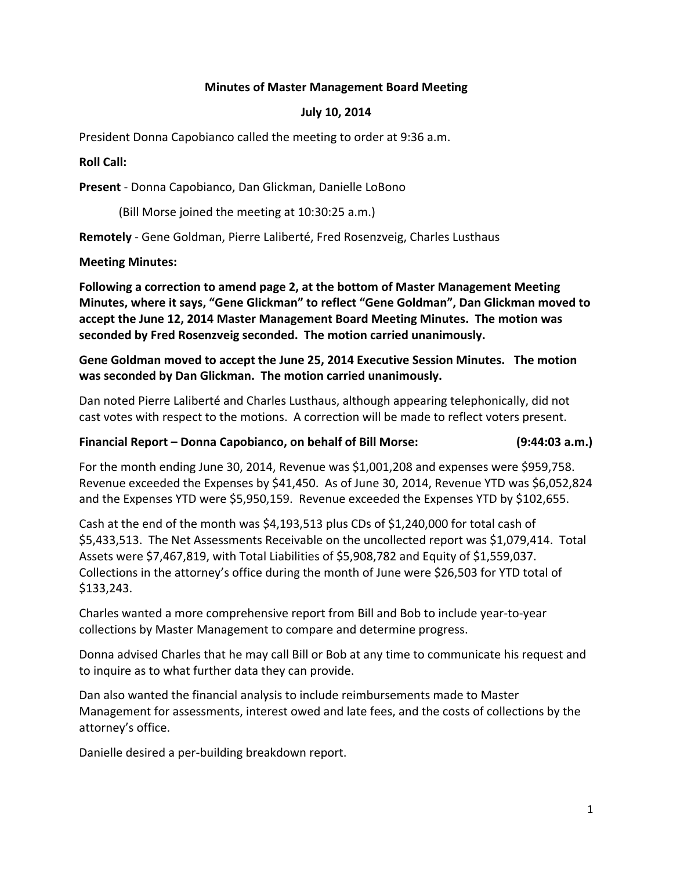### **Minutes of Master Management Board Meeting**

### **July 10, 2014**

President Donna Capobianco called the meeting to order at 9:36 a.m.

### **Roll Call:**

**Present** - Donna Capobianco, Dan Glickman, Danielle LoBono

(Bill Morse joined the meeting at 10:30:25 a.m.)

**Remotely** - Gene Goldman, Pierre Laliberté, Fred Rosenzveig, Charles Lusthaus

### **Meeting Minutes:**

**Following a correction to amend page 2, at the bottom of Master Management Meeting Minutes, where it says, "Gene Glickman" to reflect "Gene Goldman", Dan Glickman moved to accept the June 12, 2014 Master Management Board Meeting Minutes. The motion was seconded by Fred Rosenzveig seconded. The motion carried unanimously.**

**Gene Goldman moved to accept the June 25, 2014 Executive Session Minutes. The motion was seconded by Dan Glickman. The motion carried unanimously.**

Dan noted Pierre Laliberté and Charles Lusthaus, although appearing telephonically, did not cast votes with respect to the motions. A correction will be made to reflect voters present.

### **Financial Report – Donna Capobianco, on behalf of Bill Morse: (9:44:03 a.m.)**

For the month ending June 30, 2014, Revenue was \$1,001,208 and expenses were \$959,758. Revenue exceeded the Expenses by \$41,450. As of June 30, 2014, Revenue YTD was \$6,052,824 and the Expenses YTD were \$5,950,159. Revenue exceeded the Expenses YTD by \$102,655.

Cash at the end of the month was \$4,193,513 plus CDs of \$1,240,000 for total cash of \$5,433,513. The Net Assessments Receivable on the uncollected report was \$1,079,414. Total Assets were \$7,467,819, with Total Liabilities of \$5,908,782 and Equity of \$1,559,037. Collections in the attorney's office during the month of June were \$26,503 for YTD total of \$133,243.

Charles wanted a more comprehensive report from Bill and Bob to include year-to-year collections by Master Management to compare and determine progress.

Donna advised Charles that he may call Bill or Bob at any time to communicate his request and to inquire as to what further data they can provide.

Dan also wanted the financial analysis to include reimbursements made to Master Management for assessments, interest owed and late fees, and the costs of collections by the attorney's office.

Danielle desired a per-building breakdown report.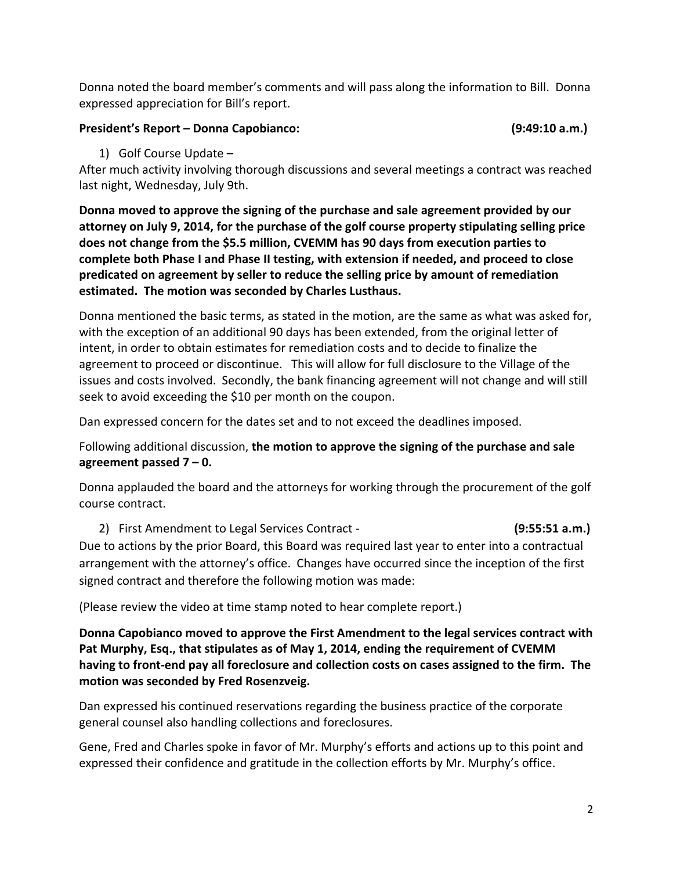Donna noted the board member's comments and will pass along the information to Bill. Donna expressed appreciation for Bill's report.

### **President's Report – Donna Capobianco: (9:49:10 a.m.)**

1) Golf Course Update –

After much activity involving thorough discussions and several meetings a contract was reached last night, Wednesday, July 9th.

**Donna moved to approve the signing of the purchase and sale agreement provided by our attorney on July 9, 2014, for the purchase of the golf course property stipulating selling price does not change from the \$5.5 million, CVEMM has 90 days from execution parties to complete both Phase I and Phase II testing, with extension if needed, and proceed to close predicated on agreement by seller to reduce the selling price by amount of remediation estimated. The motion was seconded by Charles Lusthaus.** 

Donna mentioned the basic terms, as stated in the motion, are the same as what was asked for, with the exception of an additional 90 days has been extended, from the original letter of intent, in order to obtain estimates for remediation costs and to decide to finalize the agreement to proceed or discontinue. This will allow for full disclosure to the Village of the issues and costs involved. Secondly, the bank financing agreement will not change and will still seek to avoid exceeding the \$10 per month on the coupon.

Dan expressed concern for the dates set and to not exceed the deadlines imposed.

Following additional discussion, **the motion to approve the signing of the purchase and sale agreement passed 7 – 0.** 

Donna applauded the board and the attorneys for working through the procurement of the golf course contract.

2) First Amendment to Legal Services Contract - **(9:55:51 a.m.)** Due to actions by the prior Board, this Board was required last year to enter into a contractual arrangement with the attorney's office. Changes have occurred since the inception of the first signed contract and therefore the following motion was made:

(Please review the video at time stamp noted to hear complete report.)

**Donna Capobianco moved to approve the First Amendment to the legal services contract with Pat Murphy, Esq., that stipulates as of May 1, 2014, ending the requirement of CVEMM having to front-end pay all foreclosure and collection costs on cases assigned to the firm. The motion was seconded by Fred Rosenzveig.** 

Dan expressed his continued reservations regarding the business practice of the corporate general counsel also handling collections and foreclosures.

Gene, Fred and Charles spoke in favor of Mr. Murphy's efforts and actions up to this point and expressed their confidence and gratitude in the collection efforts by Mr. Murphy's office.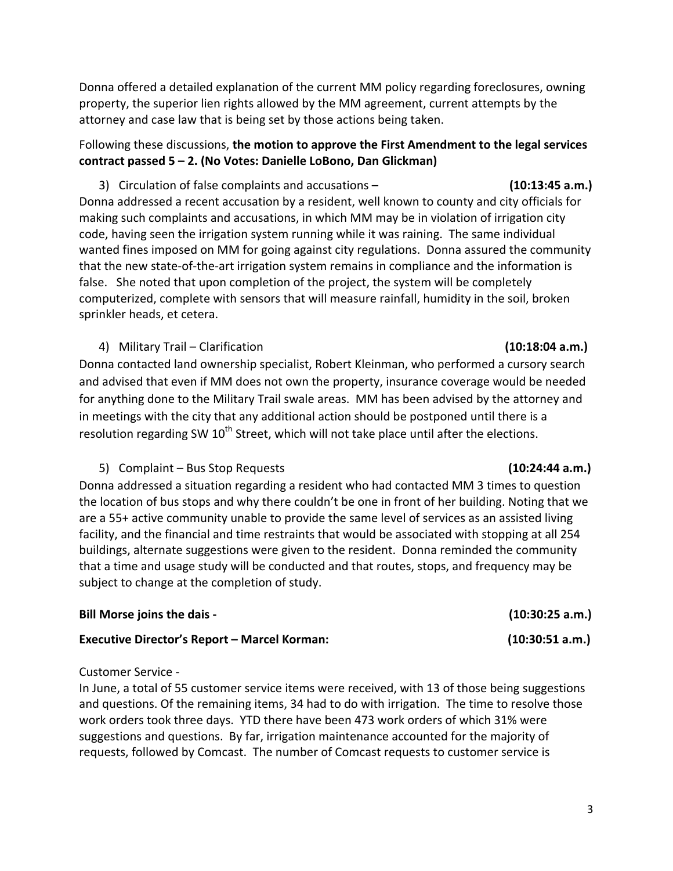Donna offered a detailed explanation of the current MM policy regarding foreclosures, owning property, the superior lien rights allowed by the MM agreement, current attempts by the attorney and case law that is being set by those actions being taken.

### Following these discussions, **the motion to approve the First Amendment to the legal services contract passed 5 – 2. (No Votes: Danielle LoBono, Dan Glickman)**

- 3) Circulation of false complaints and accusations **(10:13:45 a.m.)**  Donna addressed a recent accusation by a resident, well known to county and city officials for making such complaints and accusations, in which MM may be in violation of irrigation city code, having seen the irrigation system running while it was raining. The same individual wanted fines imposed on MM for going against city regulations. Donna assured the community that the new state-of-the-art irrigation system remains in compliance and the information is false. She noted that upon completion of the project, the system will be completely computerized, complete with sensors that will measure rainfall, humidity in the soil, broken sprinkler heads, et cetera.
	- 4) Military Trail Clarification **(10:18:04 a.m.)**

Donna contacted land ownership specialist, Robert Kleinman, who performed a cursory search and advised that even if MM does not own the property, insurance coverage would be needed for anything done to the Military Trail swale areas. MM has been advised by the attorney and in meetings with the city that any additional action should be postponed until there is a resolution regarding SW  $10^{th}$  Street, which will not take place until after the elections.

### 5) Complaint – Bus Stop Requests **(10:24:44 a.m.)**

Donna addressed a situation regarding a resident who had contacted MM 3 times to question the location of bus stops and why there couldn't be one in front of her building. Noting that we are a 55+ active community unable to provide the same level of services as an assisted living facility, and the financial and time restraints that would be associated with stopping at all 254 buildings, alternate suggestions were given to the resident. Donna reminded the community that a time and usage study will be conducted and that routes, stops, and frequency may be subject to change at the completion of study.

# **Bill Morse joins the dais - (10:30:25 a.m.) Executive Director's Report – Marcel Korman: (10:30:51 a.m.)**

### Customer Service -

In June, a total of 55 customer service items were received, with 13 of those being suggestions and questions. Of the remaining items, 34 had to do with irrigation. The time to resolve those work orders took three days. YTD there have been 473 work orders of which 31% were suggestions and questions. By far, irrigation maintenance accounted for the majority of requests, followed by Comcast. The number of Comcast requests to customer service is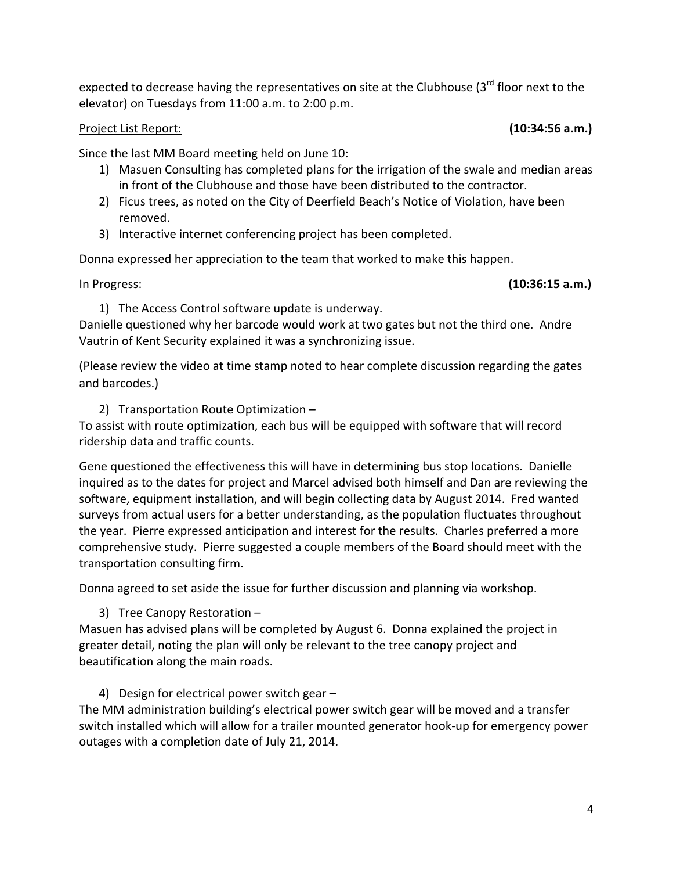expected to decrease having the representatives on site at the Clubhouse (3<sup>rd</sup> floor next to the elevator) on Tuesdays from 11:00 a.m. to 2:00 p.m.

### Project List Report: **(10:34:56 a.m.)**

Since the last MM Board meeting held on June 10:

- 1) Masuen Consulting has completed plans for the irrigation of the swale and median areas in front of the Clubhouse and those have been distributed to the contractor.
- 2) Ficus trees, as noted on the City of Deerfield Beach's Notice of Violation, have been removed.
- 3) Interactive internet conferencing project has been completed.

Donna expressed her appreciation to the team that worked to make this happen.

### In Progress: **(10:36:15 a.m.)**

1) The Access Control software update is underway. Danielle questioned why her barcode would work at two gates but not the third one. Andre Vautrin of Kent Security explained it was a synchronizing issue.

(Please review the video at time stamp noted to hear complete discussion regarding the gates and barcodes.)

2) Transportation Route Optimization –

To assist with route optimization, each bus will be equipped with software that will record ridership data and traffic counts.

Gene questioned the effectiveness this will have in determining bus stop locations. Danielle inquired as to the dates for project and Marcel advised both himself and Dan are reviewing the software, equipment installation, and will begin collecting data by August 2014. Fred wanted surveys from actual users for a better understanding, as the population fluctuates throughout the year. Pierre expressed anticipation and interest for the results. Charles preferred a more comprehensive study. Pierre suggested a couple members of the Board should meet with the transportation consulting firm.

Donna agreed to set aside the issue for further discussion and planning via workshop.

3) Tree Canopy Restoration –

Masuen has advised plans will be completed by August 6. Donna explained the project in greater detail, noting the plan will only be relevant to the tree canopy project and beautification along the main roads.

# 4) Design for electrical power switch gear –

The MM administration building's electrical power switch gear will be moved and a transfer switch installed which will allow for a trailer mounted generator hook-up for emergency power outages with a completion date of July 21, 2014.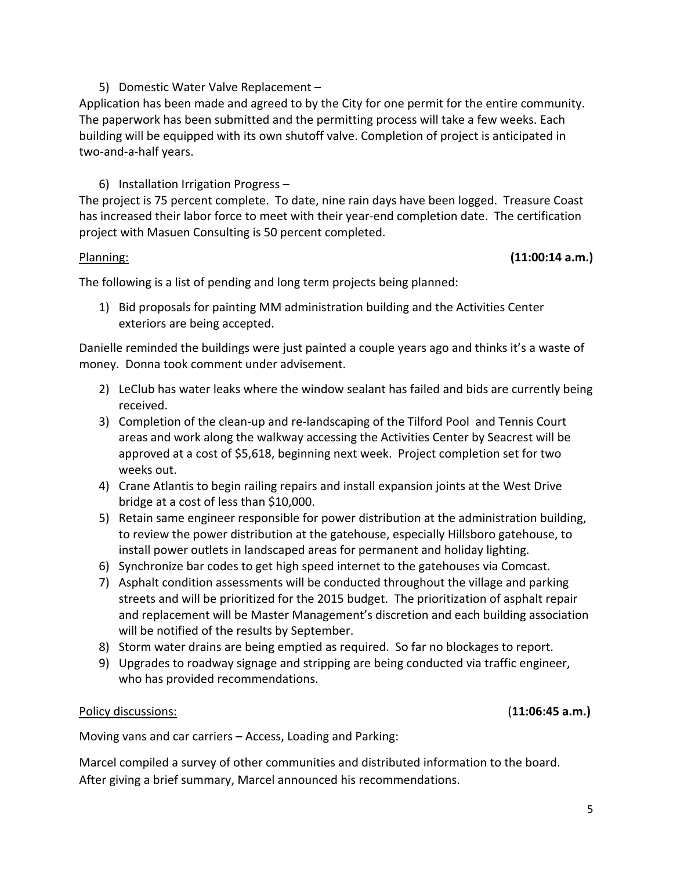### 5) Domestic Water Valve Replacement –

Application has been made and agreed to by the City for one permit for the entire community. The paperwork has been submitted and the permitting process will take a few weeks. Each building will be equipped with its own shutoff valve. Completion of project is anticipated in two-and-a-half years.

# 6) Installation Irrigation Progress –

The project is 75 percent complete. To date, nine rain days have been logged. Treasure Coast has increased their labor force to meet with their year-end completion date. The certification project with Masuen Consulting is 50 percent completed.

### Planning: **(11:00:14 a.m.)**

The following is a list of pending and long term projects being planned:

1) Bid proposals for painting MM administration building and the Activities Center exteriors are being accepted.

Danielle reminded the buildings were just painted a couple years ago and thinks it's a waste of money. Donna took comment under advisement.

- 2) LeClub has water leaks where the window sealant has failed and bids are currently being received.
- 3) Completion of the clean-up and re-landscaping of the Tilford Pool and Tennis Court areas and work along the walkway accessing the Activities Center by Seacrest will be approved at a cost of \$5,618, beginning next week. Project completion set for two weeks out.
- 4) Crane Atlantis to begin railing repairs and install expansion joints at the West Drive bridge at a cost of less than \$10,000.
- 5) Retain same engineer responsible for power distribution at the administration building, to review the power distribution at the gatehouse, especially Hillsboro gatehouse, to install power outlets in landscaped areas for permanent and holiday lighting.
- 6) Synchronize bar codes to get high speed internet to the gatehouses via Comcast.
- 7) Asphalt condition assessments will be conducted throughout the village and parking streets and will be prioritized for the 2015 budget. The prioritization of asphalt repair and replacement will be Master Management's discretion and each building association will be notified of the results by September.
- 8) Storm water drains are being emptied as required. So far no blockages to report.
- 9) Upgrades to roadway signage and stripping are being conducted via traffic engineer, who has provided recommendations.

### Policy discussions: (**11:06:45 a.m.)**

Moving vans and car carriers – Access, Loading and Parking:

Marcel compiled a survey of other communities and distributed information to the board. After giving a brief summary, Marcel announced his recommendations.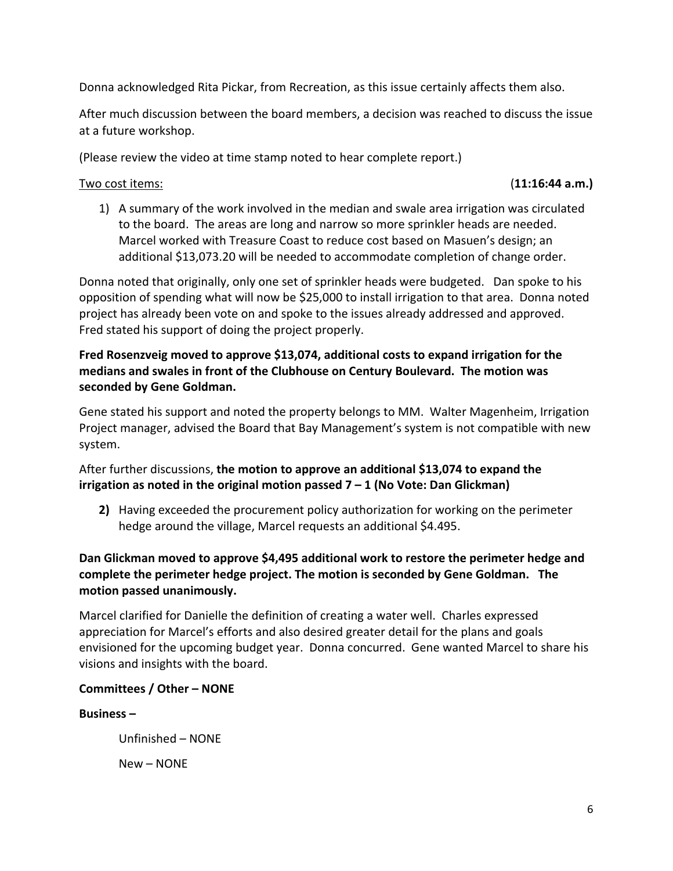Donna acknowledged Rita Pickar, from Recreation, as this issue certainly affects them also.

After much discussion between the board members, a decision was reached to discuss the issue at a future workshop.

(Please review the video at time stamp noted to hear complete report.)

### Two cost items: (**11:16:44 a.m.)**

1) A summary of the work involved in the median and swale area irrigation was circulated to the board. The areas are long and narrow so more sprinkler heads are needed. Marcel worked with Treasure Coast to reduce cost based on Masuen's design; an additional \$13,073.20 will be needed to accommodate completion of change order.

Donna noted that originally, only one set of sprinkler heads were budgeted. Dan spoke to his opposition of spending what will now be \$25,000 to install irrigation to that area. Donna noted project has already been vote on and spoke to the issues already addressed and approved. Fred stated his support of doing the project properly.

# **Fred Rosenzveig moved to approve \$13,074, additional costs to expand irrigation for the medians and swales in front of the Clubhouse on Century Boulevard. The motion was seconded by Gene Goldman.**

Gene stated his support and noted the property belongs to MM. Walter Magenheim, Irrigation Project manager, advised the Board that Bay Management's system is not compatible with new system.

## After further discussions, **the motion to approve an additional \$13,074 to expand the irrigation as noted in the original motion passed 7 – 1 (No Vote: Dan Glickman)**

**2)** Having exceeded the procurement policy authorization for working on the perimeter hedge around the village, Marcel requests an additional \$4.495.

# **Dan Glickman moved to approve \$4,495 additional work to restore the perimeter hedge and complete the perimeter hedge project. The motion is seconded by Gene Goldman. The motion passed unanimously.**

Marcel clarified for Danielle the definition of creating a water well. Charles expressed appreciation for Marcel's efforts and also desired greater detail for the plans and goals envisioned for the upcoming budget year. Donna concurred. Gene wanted Marcel to share his visions and insights with the board.

# **Committees / Other – NONE**

# **Business –**

Unfinished – NONE New – NONE